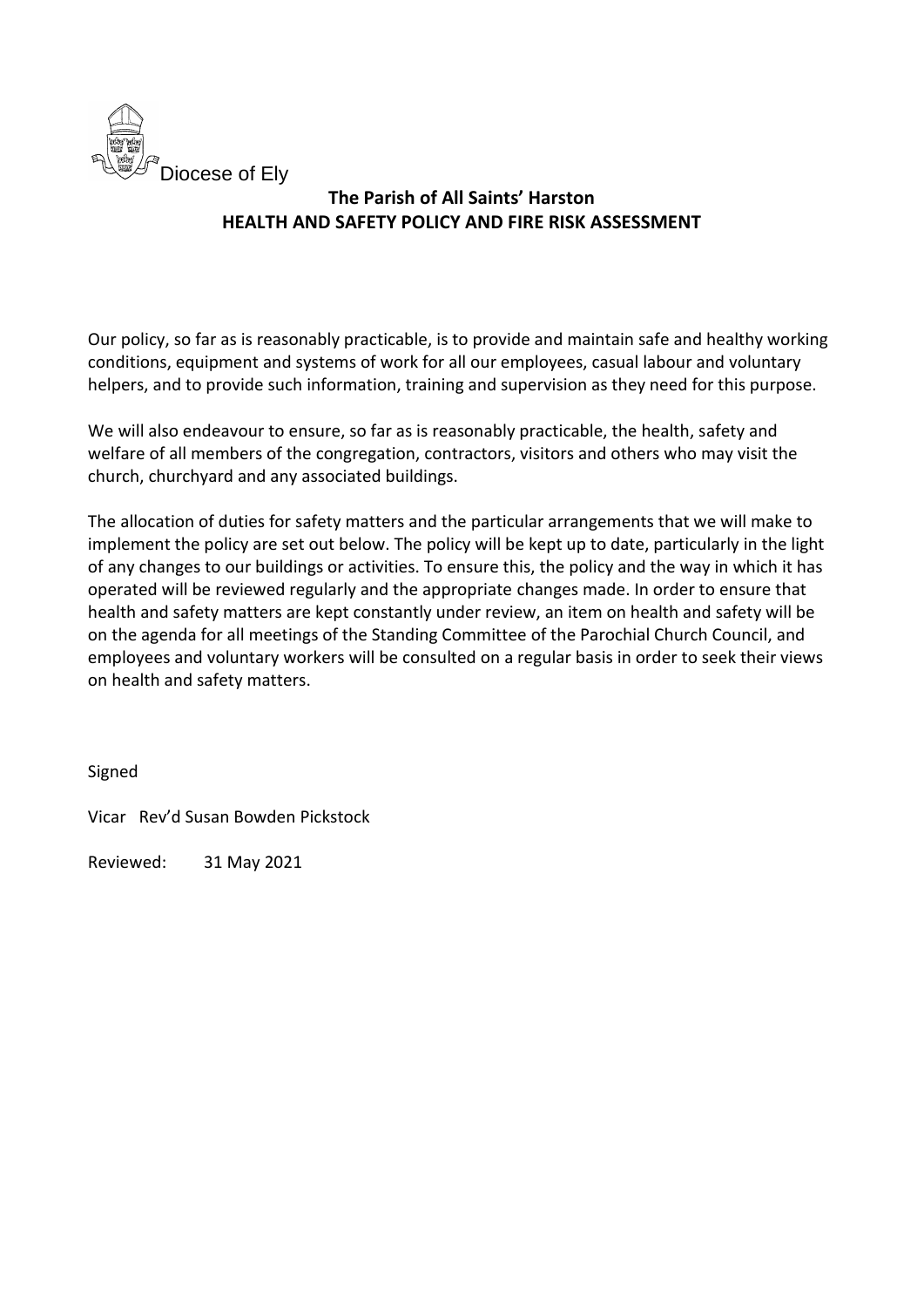

Our policy, so far as is reasonably practicable, is to provide and maintain safe and healthy working conditions, equipment and systems of work for all our employees, casual labour and voluntary helpers, and to provide such information, training and supervision as they need for this purpose.

We will also endeavour to ensure, so far as is reasonably practicable, the health, safety and welfare of all members of the congregation, contractors, visitors and others who may visit the church, churchyard and any associated buildings.

The allocation of duties for safety matters and the particular arrangements that we will make to implement the policy are set out below. The policy will be kept up to date, particularly in the light of any changes to our buildings or activities. To ensure this, the policy and the way in which it has operated will be reviewed regularly and the appropriate changes made. In order to ensure that health and safety matters are kept constantly under review, an item on health and safety will be on the agenda for all meetings of the Standing Committee of the Parochial Church Council, and employees and voluntary workers will be consulted on a regular basis in order to seek their views on health and safety matters.

Signed

Vicar Rev'd Susan Bowden Pickstock

Reviewed: 31 May 2021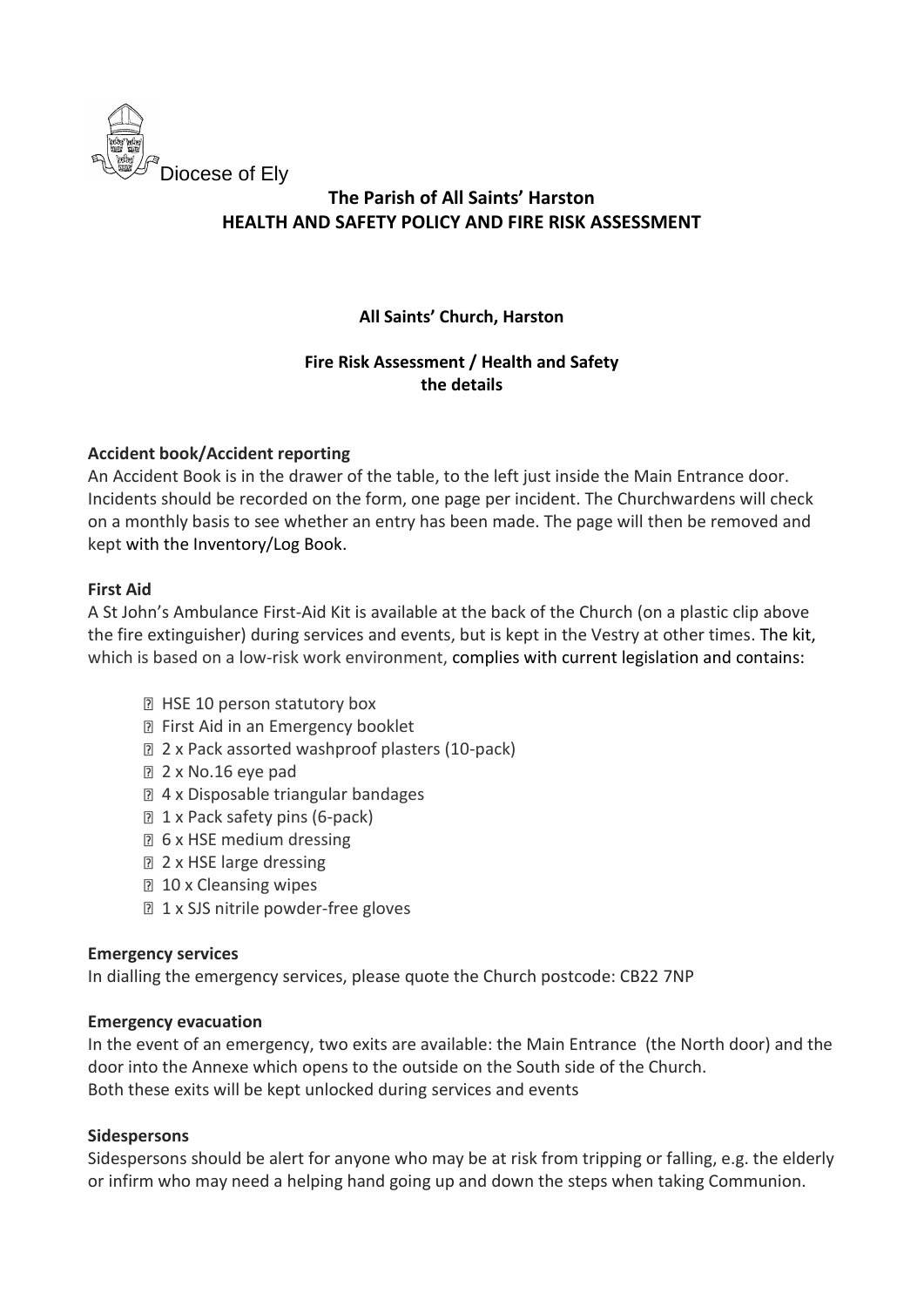

### **All Saints' Church, Harston**

### **Fire Risk Assessment / Health and Safety the details**

### **Accident book/Accident reporting**

An Accident Book is in the drawer of the table, to the left just inside the Main Entrance door. Incidents should be recorded on the form, one page per incident. The Churchwardens will check on a monthly basis to see whether an entry has been made. The page will then be removed and kept with the Inventory/Log Book.

### **First Aid**

A St John's Ambulance First-Aid Kit is available at the back of the Church (on a plastic clip above the fire extinguisher) during services and events, but is kept in the Vestry at other times. The kit, which is based on a low-risk work environment, complies with current legislation and contains:

- **E** HSE 10 person statutory box
- **P** First Aid in an Emergency booklet
- 2 x Pack assorted washproof plasters (10-pack)
- 2 x No.16 eye pad
- 4 x Disposable triangular bandages
- 1 x Pack safety pins (6-pack)
- **1** 6 x HSE medium dressing
- **2 x HSE large dressing**
- **10 x Cleansing wipes**
- **1 x SJS nitrile powder-free gloves**

#### **Emergency services**

In dialling the emergency services, please quote the Church postcode: CB22 7NP

#### **Emergency evacuation**

In the event of an emergency, two exits are available: the Main Entrance (the North door) and the door into the Annexe which opens to the outside on the South side of the Church. Both these exits will be kept unlocked during services and events

#### **Sidespersons**

Sidespersons should be alert for anyone who may be at risk from tripping or falling, e.g. the elderly or infirm who may need a helping hand going up and down the steps when taking Communion.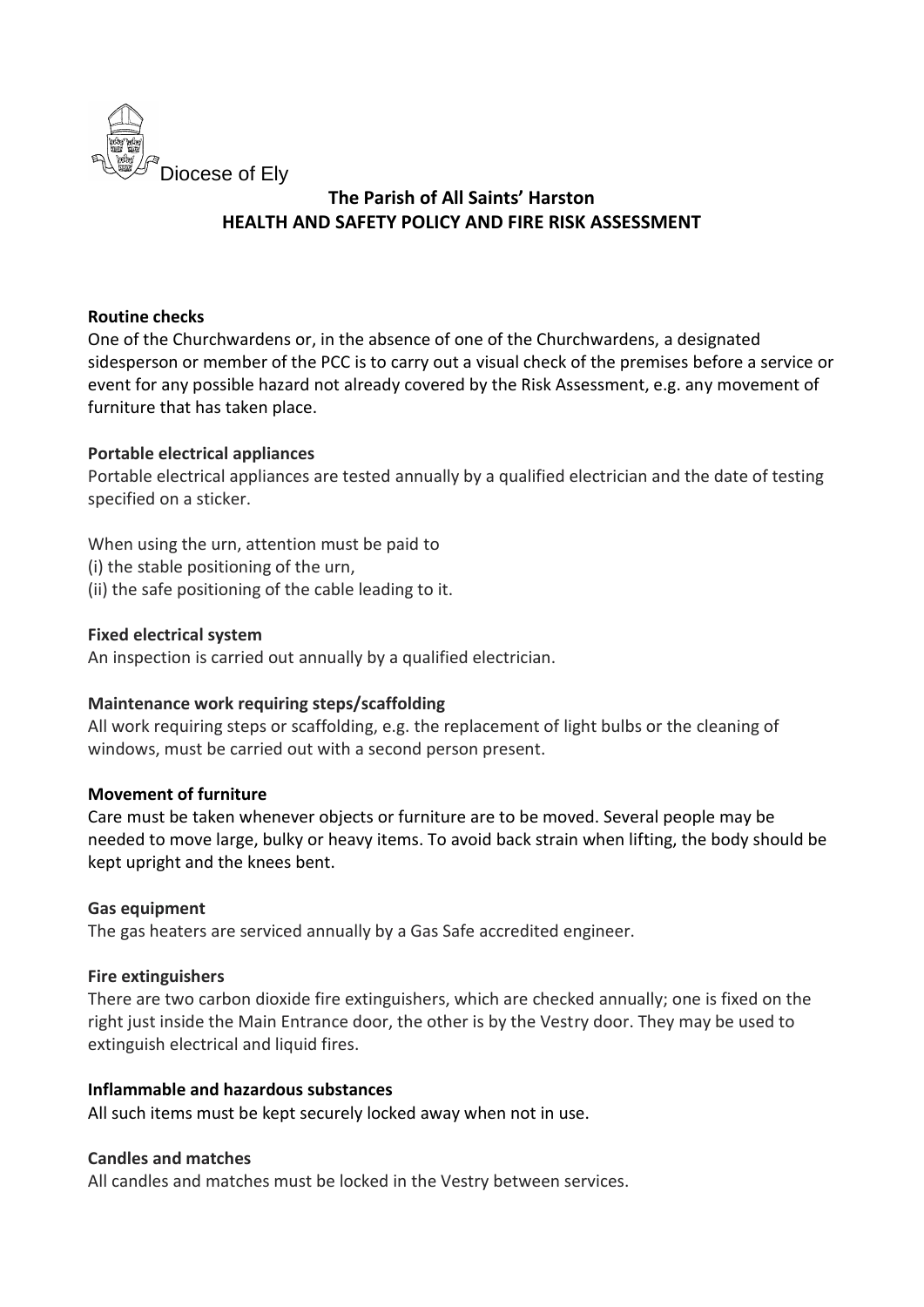

#### **Routine checks**

One of the Churchwardens or, in the absence of one of the Churchwardens, a designated sidesperson or member of the PCC is to carry out a visual check of the premises before a service or event for any possible hazard not already covered by the Risk Assessment, e.g. any movement of furniture that has taken place.

#### **Portable electrical appliances**

Portable electrical appliances are tested annually by a qualified electrician and the date of testing specified on a sticker.

When using the urn, attention must be paid to

- (i) the stable positioning of the urn,
- (ii) the safe positioning of the cable leading to it.

#### **Fixed electrical system**

An inspection is carried out annually by a qualified electrician.

#### **Maintenance work requiring steps/scaffolding**

All work requiring steps or scaffolding, e.g. the replacement of light bulbs or the cleaning of windows, must be carried out with a second person present.

#### **Movement of furniture**

Care must be taken whenever objects or furniture are to be moved. Several people may be needed to move large, bulky or heavy items. To avoid back strain when lifting, the body should be kept upright and the knees bent.

#### **Gas equipment**

The gas heaters are serviced annually by a Gas Safe accredited engineer.

#### **Fire extinguishers**

There are two carbon dioxide fire extinguishers, which are checked annually; one is fixed on the right just inside the Main Entrance door, the other is by the Vestry door. They may be used to extinguish electrical and liquid fires.

#### **Inflammable and hazardous substances**

All such items must be kept securely locked away when not in use.

#### **Candles and matches**

All candles and matches must be locked in the Vestry between services.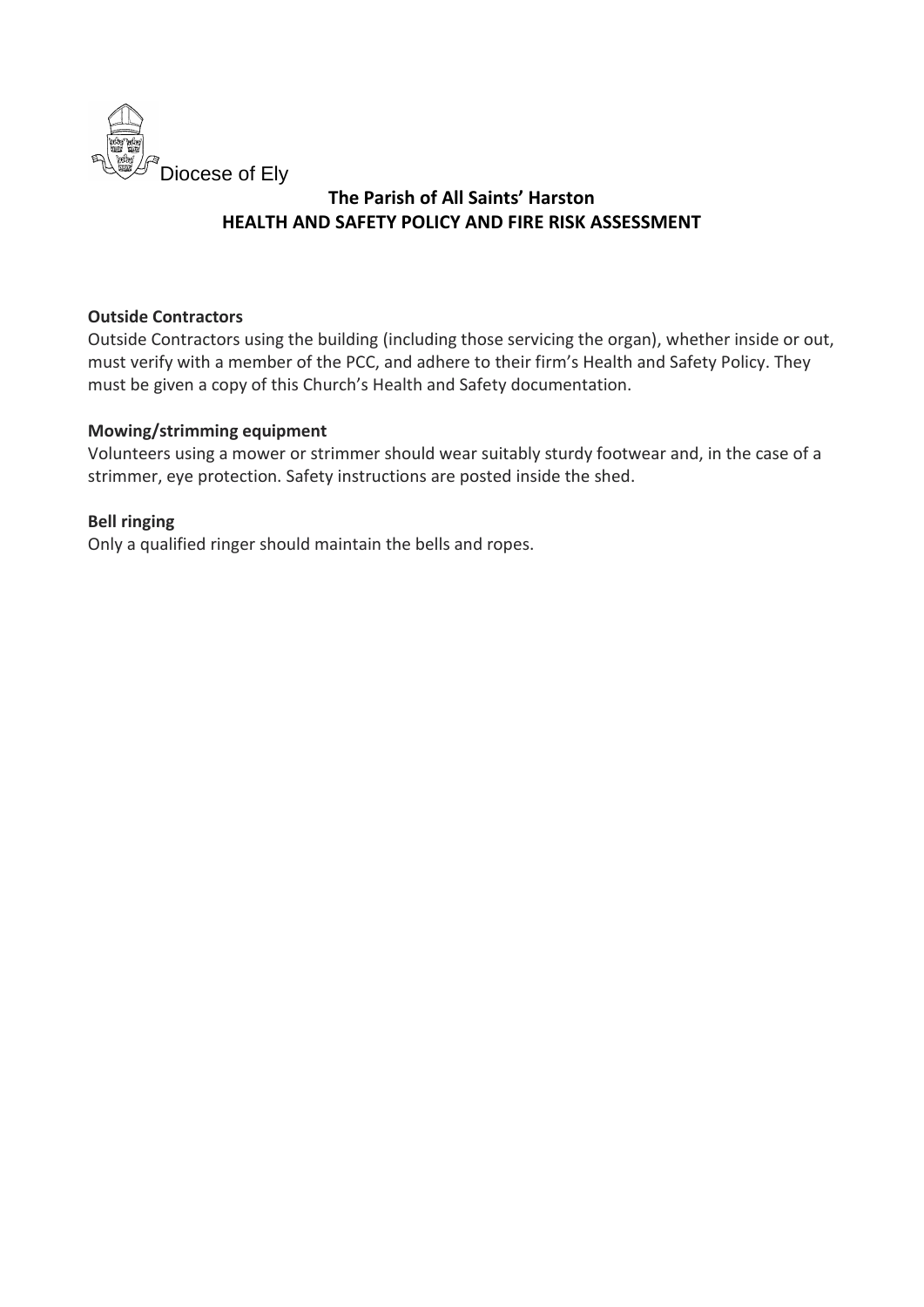

#### **Outside Contractors**

Outside Contractors using the building (including those servicing the organ), whether inside or out, must verify with a member of the PCC, and adhere to their firm's Health and Safety Policy. They must be given a copy of this Church's Health and Safety documentation.

### **Mowing/strimming equipment**

Volunteers using a mower or strimmer should wear suitably sturdy footwear and, in the case of a strimmer, eye protection. Safety instructions are posted inside the shed.

### **Bell ringing**

Only a qualified ringer should maintain the bells and ropes.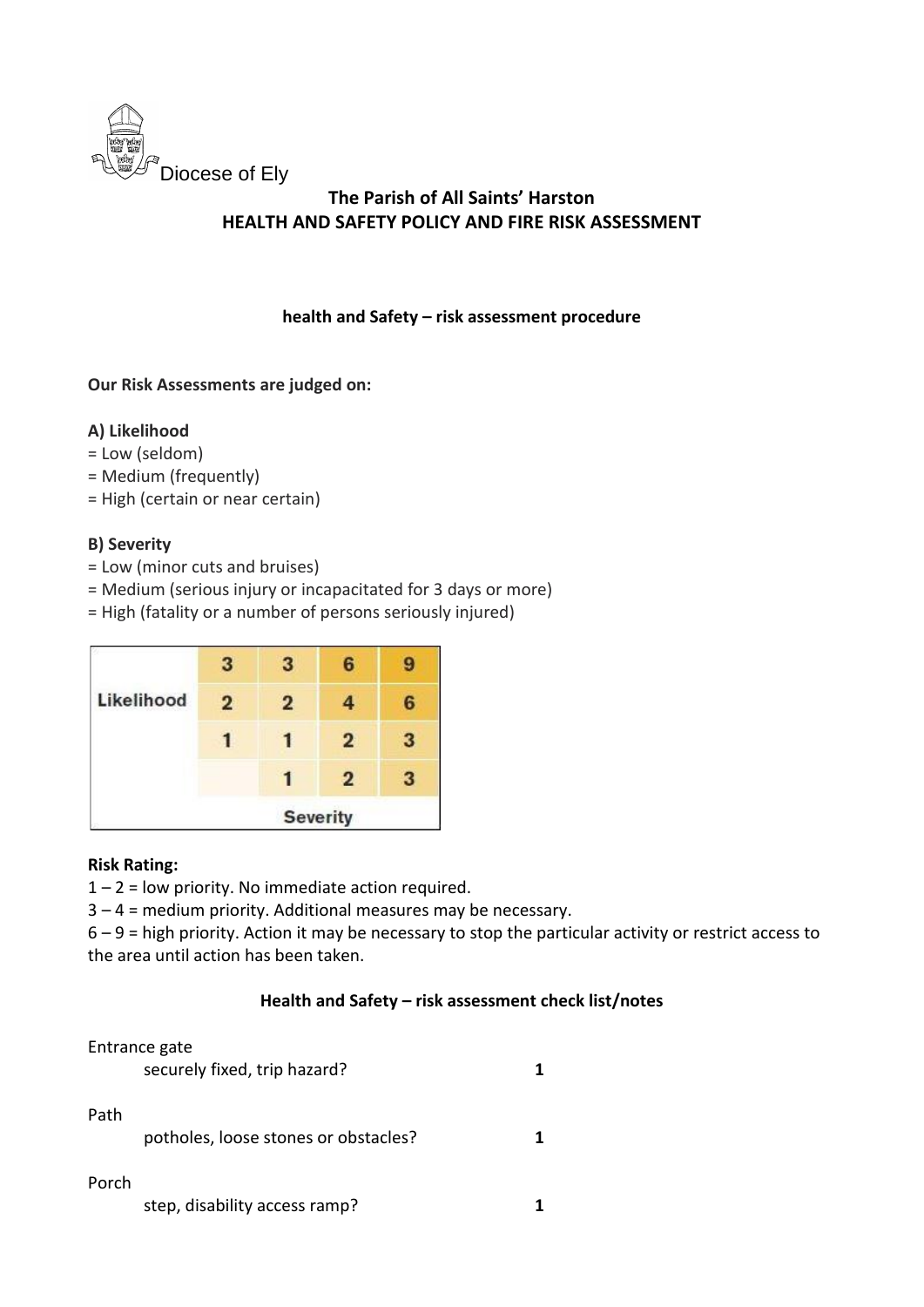

### **health and Safety – risk assessment procedure**

### **Our Risk Assessments are judged on:**

### **A) Likelihood**

- = Low (seldom)
- = Medium (frequently)
- = High (certain or near certain)

### **B) Severity**

- = Low (minor cuts and bruises)
- = Medium (serious injury or incapacitated for 3 days or more)
- = High (fatality or a number of persons seriously injured)

|            |                 | 3              | R              |   |
|------------|-----------------|----------------|----------------|---|
| Likelihood | $\overline{2}$  | $\overline{2}$ | 4              | 6 |
|            |                 |                | $\overline{2}$ | з |
|            |                 |                | $\overline{2}$ | 3 |
|            | <b>Severity</b> |                |                |   |

#### **Risk Rating:**

 $1 - 2$  = low priority. No immediate action required.

3 – 4 = medium priority. Additional measures may be necessary.

6 – 9 = high priority. Action it may be necessary to stop the particular activity or restrict access to the area until action has been taken.

#### **Health and Safety – risk assessment check list/notes**

#### Entrance gate

|       | securely fixed, trip hazard?         |  |
|-------|--------------------------------------|--|
| Path  | potholes, loose stones or obstacles? |  |
| Porch |                                      |  |

| step, disability access ramp? |  |
|-------------------------------|--|
|-------------------------------|--|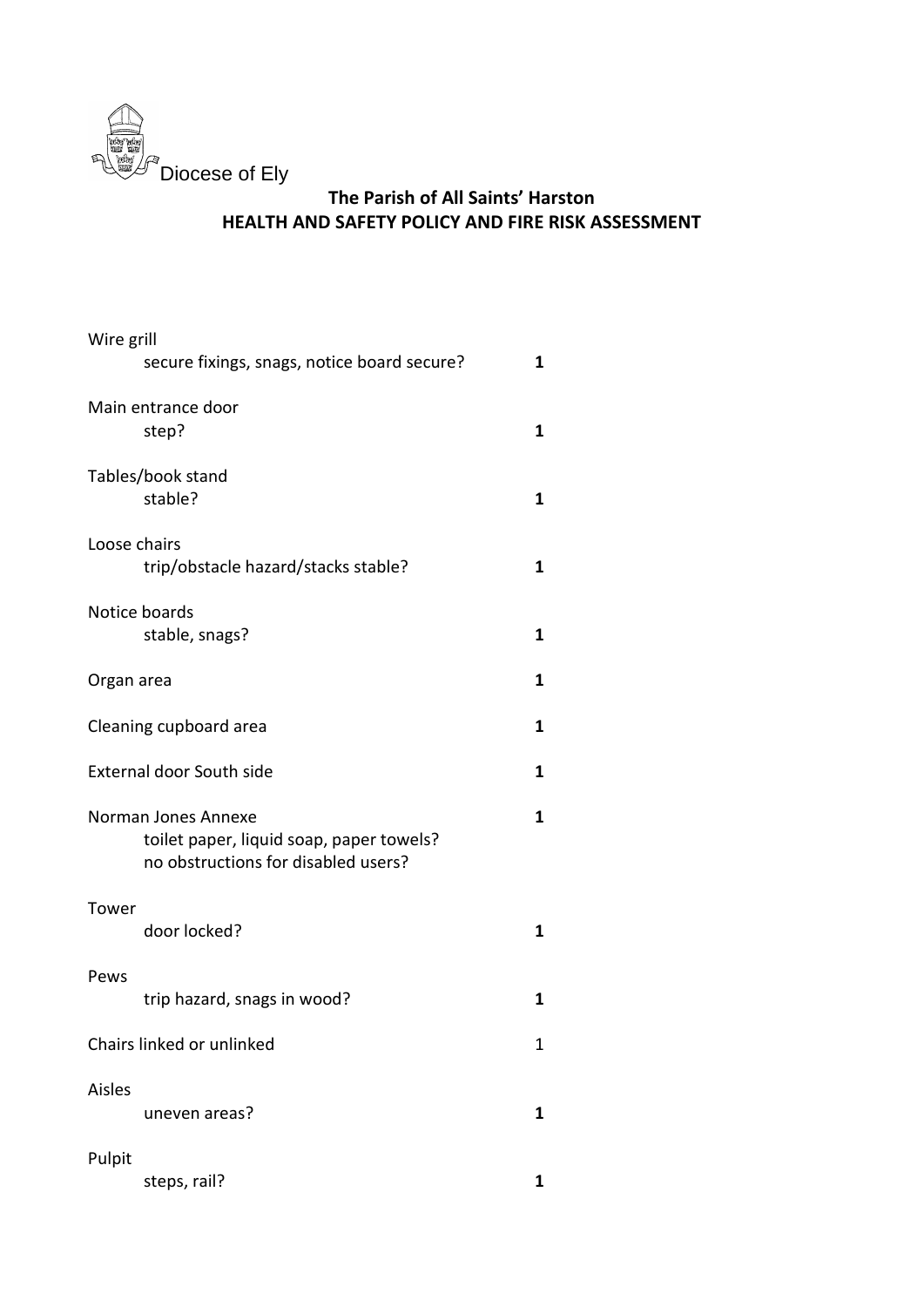

| Wire grill   | secure fixings, snags, notice board secure?                                                            | 1           |
|--------------|--------------------------------------------------------------------------------------------------------|-------------|
|              | Main entrance door<br>step?                                                                            | 1           |
|              | Tables/book stand<br>stable?                                                                           | 1           |
| Loose chairs | trip/obstacle hazard/stacks stable?                                                                    | 1           |
|              | Notice boards<br>stable, snags?                                                                        | 1           |
| Organ area   |                                                                                                        | 1           |
|              | Cleaning cupboard area                                                                                 | 1           |
|              | <b>External door South side</b>                                                                        | 1           |
|              | Norman Jones Annexe<br>toilet paper, liquid soap, paper towels?<br>no obstructions for disabled users? | 1           |
| Tower        | door locked?                                                                                           | 1           |
| Pews         | trip hazard, snags in wood?                                                                            | 1           |
|              | Chairs linked or unlinked                                                                              | $\mathbf 1$ |
| Aisles       | uneven areas?                                                                                          | 1           |
| Pulpit       | steps, rail?                                                                                           | 1           |